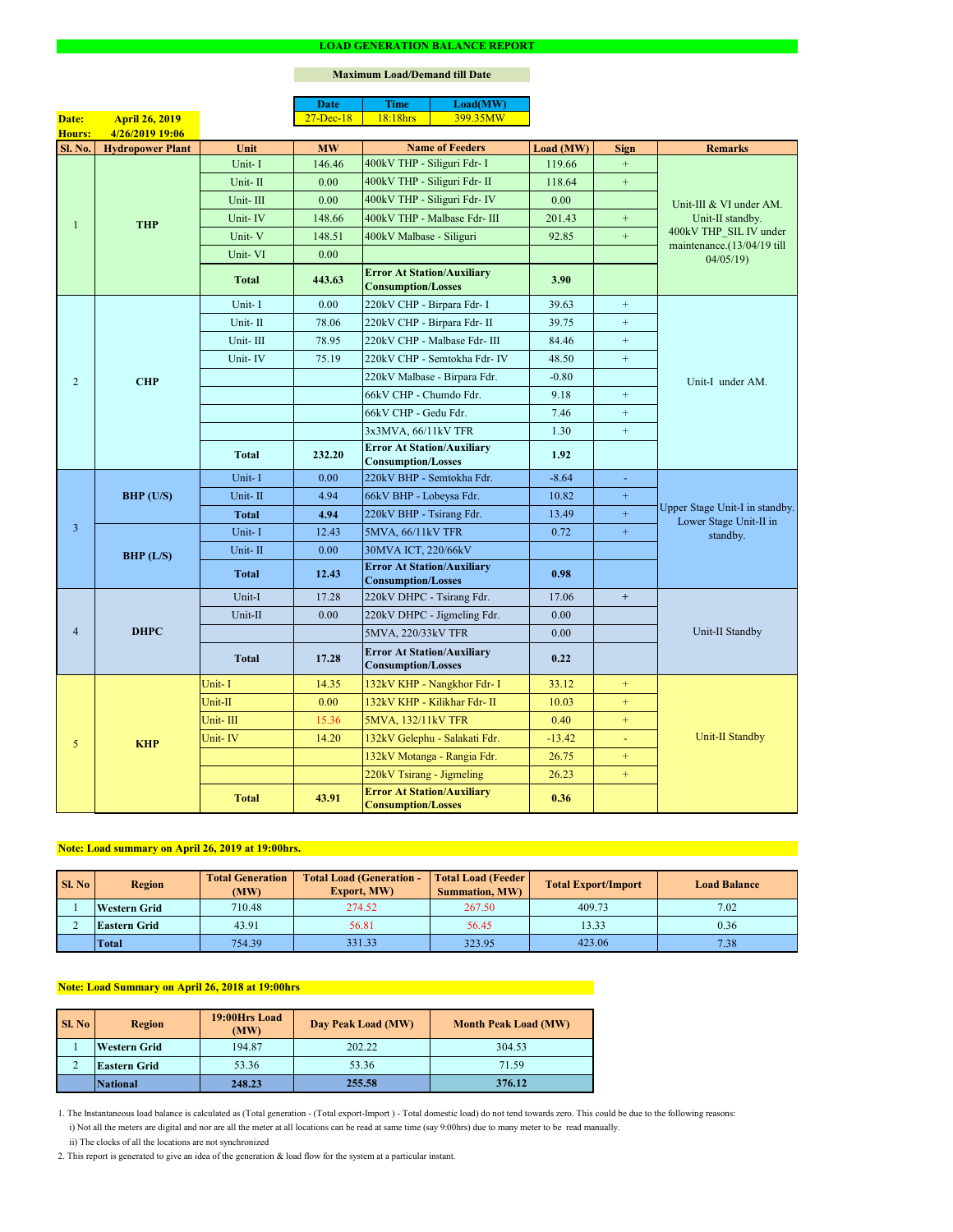|                |                         |              | <b>Date</b>   | <b>Time</b>                                                    | Load(MW)                      |           |                  |                                                      |  |
|----------------|-------------------------|--------------|---------------|----------------------------------------------------------------|-------------------------------|-----------|------------------|------------------------------------------------------|--|
| Date:          | <b>April 26, 2019</b>   |              | $27 - Dec-18$ | 18:18hrs                                                       | 399.35MW                      |           |                  |                                                      |  |
| Hours:         | 4/26/2019 19:06         |              |               |                                                                |                               |           |                  |                                                      |  |
| Sl. No.        | <b>Hydropower Plant</b> | Unit         | <b>MW</b>     |                                                                | <b>Name of Feeders</b>        | Load (MW) | <b>Sign</b>      | <b>Remarks</b>                                       |  |
|                |                         | Unit-I       | 146.46        | 400kV THP - Siliguri Fdr- I                                    |                               | 119.66    | $+$              |                                                      |  |
|                |                         | Unit-II      | 0.00          |                                                                | 400kV THP - Siliguri Fdr- II  | 118.64    | $\boldsymbol{+}$ |                                                      |  |
|                |                         | Unit-III     | 0.00          |                                                                | 400kV THP - Siliguri Fdr- IV  | 0.00      |                  | Unit-III & VI under AM.                              |  |
|                | <b>THP</b>              | Unit-IV      | 148.66        |                                                                | 400kV THP - Malbase Fdr- III  | 201.43    | $\boldsymbol{+}$ | Unit-II standby.                                     |  |
|                |                         | Unit-V       | 148.51        | 400kV Malbase - Siliguri                                       |                               | 92.85     | $\boldsymbol{+}$ | 400kV THP_SIL IV under<br>maintenance.(13/04/19 till |  |
|                |                         | Unit-VI      | 0.00          |                                                                |                               |           |                  | 04/05/19                                             |  |
|                |                         | <b>Total</b> | 443.63        | <b>Error At Station/Auxiliary</b><br><b>Consumption/Losses</b> |                               | 3.90      |                  |                                                      |  |
|                |                         | Unit-I       | 0.00          | 220kV CHP - Birpara Fdr- I                                     |                               | 39.63     | $+$              |                                                      |  |
|                |                         | Unit-II      | 78.06         |                                                                | 220kV CHP - Birpara Fdr- II   | 39.75     | $+$              |                                                      |  |
|                |                         | Unit-III     | 78.95         |                                                                | 220kV CHP - Malbase Fdr- III  | 84.46     | $+$              |                                                      |  |
|                |                         | Unit-IV      | 75.19         |                                                                | 220kV CHP - Semtokha Fdr- IV  | 48.50     | $\boldsymbol{+}$ |                                                      |  |
| $\overline{2}$ | <b>CHP</b>              |              |               |                                                                | 220kV Malbase - Birpara Fdr.  | $-0.80$   |                  | Unit-I under AM.                                     |  |
|                |                         |              |               | 66kV CHP - Chumdo Fdr.                                         |                               | 9.18      | $+$              |                                                      |  |
|                |                         |              |               | 66kV CHP - Gedu Fdr.                                           |                               | 7.46      | $\boldsymbol{+}$ |                                                      |  |
|                |                         |              |               | 3x3MVA, 66/11kV TFR                                            |                               | 1.30      | $+$              |                                                      |  |
|                |                         | <b>Total</b> | 232.20        | <b>Error At Station/Auxiliary</b><br><b>Consumption/Losses</b> |                               | 1.92      |                  |                                                      |  |
|                | BHP (U/S)               | Unit-I       | 0.00          | 220kV BHP - Semtokha Fdr.                                      |                               | $-8.64$   | $\blacksquare$   |                                                      |  |
|                |                         | Unit-II      | 4.94          | 66kV BHP - Lobeysa Fdr.                                        |                               | 10.82     | $\pm$            |                                                      |  |
|                |                         | <b>Total</b> | 4.94          | 220kV BHP - Tsirang Fdr.                                       |                               | 13.49     | $+$              | Upper Stage Unit-I in standby.                       |  |
| $\overline{3}$ |                         | Unit-I       | 12.43         | 5MVA, 66/11kV TFR                                              |                               | 0.72      | $+$              | Lower Stage Unit-II in<br>standby.                   |  |
|                | BHP (L/S)               | Unit-II      | 0.00          | 30MVA ICT, 220/66kV                                            |                               |           |                  |                                                      |  |
|                |                         | <b>Total</b> | 12.43         | <b>Error At Station/Auxiliary</b><br><b>Consumption/Losses</b> |                               | 0.98      |                  |                                                      |  |
|                | <b>DHPC</b>             | Unit-I       | 17.28         | 220kV DHPC - Tsirang Fdr.                                      |                               | 17.06     | $+$              |                                                      |  |
|                |                         | Unit-II      | 0.00          |                                                                | 220kV DHPC - Jigmeling Fdr.   | 0.00      |                  |                                                      |  |
| $\overline{4}$ |                         |              |               | 5MVA, 220/33kV TFR                                             |                               | 0.00      |                  | Unit-II Standby                                      |  |
|                |                         | <b>Total</b> | 17.28         | <b>Error At Station/Auxiliary</b><br><b>Consumption/Losses</b> |                               | 0.22      |                  |                                                      |  |
| 5              |                         | Unit-I       | 14.35         |                                                                | 132kV KHP - Nangkhor Fdr- I   | 33.12     | $+$              |                                                      |  |
|                |                         | Unit-II      | 0.00          |                                                                | 132kV KHP - Kilikhar Fdr- II  | 10.03     | $+$              |                                                      |  |
|                | <b>KHP</b>              | Unit-III     | 15.36         | <b>5MVA, 132/11kV TFR</b>                                      |                               | 0.40      | $+$              |                                                      |  |
|                |                         | Unit-IV      | 14.20         |                                                                | 132kV Gelephu - Salakati Fdr. | $-13.42$  |                  | <b>Unit-II Standby</b>                               |  |
|                |                         |              |               |                                                                | 132kV Motanga - Rangia Fdr.   | 26.75     | $+$              |                                                      |  |
|                |                         |              |               | 220kV Tsirang - Jigmeling                                      |                               | 26.23     | $+$              |                                                      |  |
|                |                         | <b>Total</b> | 43.91         | <b>Error At Station/Auxiliary</b><br><b>Consumption/Losses</b> |                               | 0.36      |                  |                                                      |  |

#### **LOAD GENERATION BALANCE REPORT**

| <b>Sl. No</b> | <b>Total Generation</b><br><b>Region</b><br>(MW) |        | <b>Total Load (Generation -</b><br><b>Export, MW)</b> | <b>Total Load (Feeder)</b><br><b>Summation, MW)</b> | <b>Total Export/Import</b> | <b>Load Balance</b> |
|---------------|--------------------------------------------------|--------|-------------------------------------------------------|-----------------------------------------------------|----------------------------|---------------------|
|               | <b>Western Grid</b>                              | 710.48 | 274.52                                                | 267.50                                              | 409.73                     | 7.02                |
|               | 43.91<br><b>Eastern Grid</b>                     |        | 56.81                                                 | 56.45                                               | 13.33                      | 0.36                |
|               | Total                                            | 754.39 | 331.33                                                | 323.95                                              | 423.06                     | 7.38                |

| SI. No | <b>Region</b>       | 19:00Hrs Load<br>(MW) | Day Peak Load (MW) | <b>Month Peak Load (MW)</b> |  |
|--------|---------------------|-----------------------|--------------------|-----------------------------|--|
|        | <b>Western Grid</b> | 194.87                | 304.53<br>202.22   |                             |  |
|        | <b>Eastern Grid</b> | 53.36                 | 53.36              | 71.59                       |  |
|        | <i>National</i>     | 248.23                | 255.58             | 376.12                      |  |

i) Not all the meters are digital and nor are all the meter at all locations can be read at same time (say 9:00hrs) due to many meter to be read manually.

# **Note: Load Summary on April 26, 2018 at 19:00hrs**

1. The Instantaneous load balance is calculated as (Total generation - (Total export-Import ) - Total domestic load) do not tend towards zero. This could be due to the following reasons:

# **Note: Load summary on April 26, 2019 at 19:00hrs.**

2. This report is generated to give an idea of the generation & load flow for the system at a particular instant.

### **Maximum Load/Demand till Date**

ii) The clocks of all the locations are not synchronized